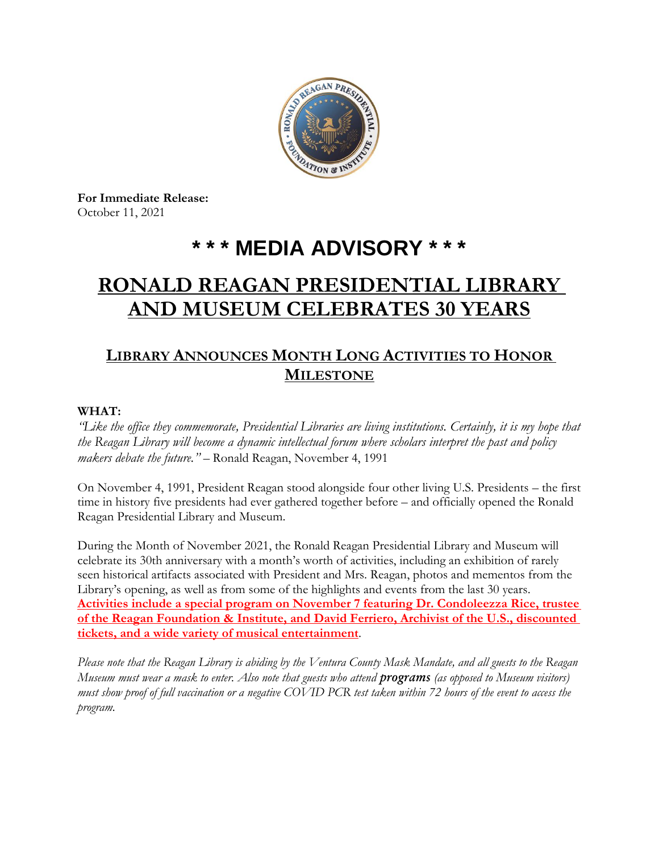

**For Immediate Release:** October 11, 2021

# **\* \* \* MEDIA ADVISORY \* \* \***

# **RONALD REAGAN PRESIDENTIAL LIBRARY AND MUSEUM CELEBRATES 30 YEARS**

# **LIBRARY ANNOUNCES MONTH LONG ACTIVITIES TO HONOR MILESTONE**

#### **WHAT:**

*"Like the office they commemorate, Presidential Libraries are living institutions. Certainly, it is my hope that the Reagan Library will become a dynamic intellectual forum where scholars interpret the past and policy makers debate the future."* – Ronald Reagan, November 4, 1991

On November 4, 1991, President Reagan stood alongside four other living U.S. Presidents – the first time in history five presidents had ever gathered together before – and officially opened the Ronald Reagan Presidential Library and Museum.

During the Month of November 2021, the Ronald Reagan Presidential Library and Museum will celebrate its 30th anniversary with a month's worth of activities, including an exhibition of rarely seen historical artifacts associated with President and Mrs. Reagan, photos and mementos from the Library's opening, as well as from some of the highlights and events from the last 30 years. **Activities include a special program on November 7 featuring Dr. Condoleezza Rice, trustee of the Reagan Foundation & Institute, and David Ferriero, Archivist of the U.S., discounted tickets, and a wide variety of musical entertainment**.

*Please note that the Reagan Library is abiding by the Ventura County Mask Mandate, and all guests to the Reagan Museum must wear a mask to enter. Also note that guests who attend programs (as opposed to Museum visitors) must show proof of full vaccination or a negative COVID PCR test taken within 72 hours of the event to access the program.*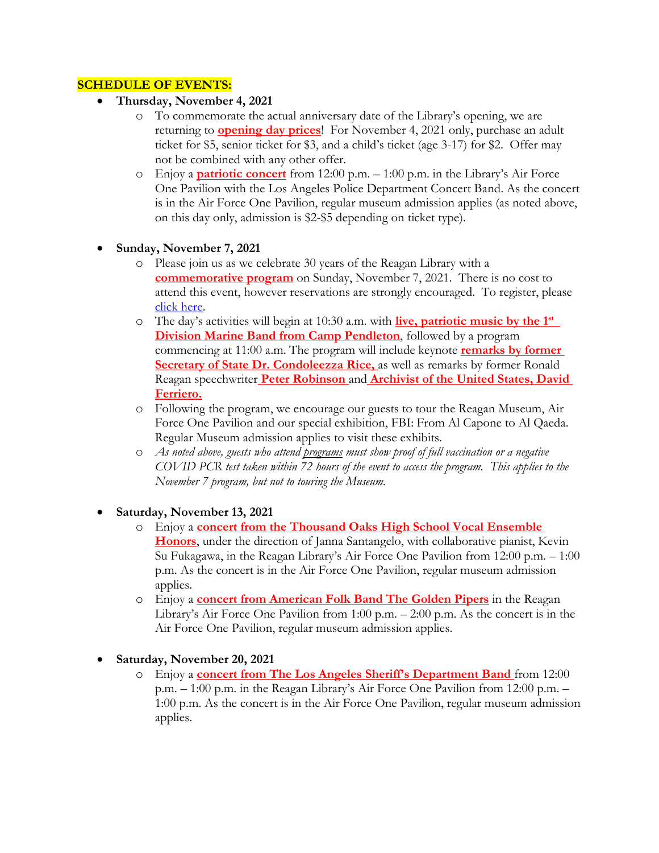### **SCHEDULE OF EVENTS:**

- **Thursday, November 4, 2021**
	- o To commemorate the actual anniversary date of the Library's opening, we are returning to **opening day prices**! For November 4, 2021 only, purchase an adult ticket for \$5, senior ticket for \$3, and a child's ticket (age 3-17) for \$2. Offer may not be combined with any other offer.
	- o Enjoy a **patriotic concert** from 12:00 p.m. 1:00 p.m. in the Library's Air Force One Pavilion with the Los Angeles Police Department Concert Band. As the concert is in the Air Force One Pavilion, regular museum admission applies (as noted above, on this day only, admission is \$2-\$5 depending on ticket type).
- **Sunday, November 7, 2021**
	- o Please join us as we celebrate 30 years of the Reagan Library with a **commemorative program** on Sunday, November 7, 2021. There is no cost to attend this event, however reservations are strongly encouraged. To register, please [click here.](https://reagan40.secure.force.com/events/cnp_paas_evt__ExternalRegistrationPage?Site_Id=a2E1Q0000030gNXUAY)
	- o The day's activities will begin at 10:30 a.m. with **live, patriotic music by the 1 st Division Marine Band from Camp Pendleton**, followed by a program commencing at 11:00 a.m. The program will include keynote **remarks by former Secretary of State Dr. Condoleezza Rice, as well as remarks by former Ronald** Reagan speechwriter **Peter Robinson** and **Archivist of the United States, David Ferriero.**
	- o Following the program, we encourage our guests to tour the Reagan Museum, Air Force One Pavilion and our special exhibition, FBI: From Al Capone to Al Qaeda. Regular Museum admission applies to visit these exhibits.
	- o *As noted above, guests who attend programs must show proof of full vaccination or a negative COVID PCR test taken within 72 hours of the event to access the program. This applies to the November 7 program, but not to touring the Museum.*
- **Saturday, November 13, 2021**
	- o Enjoy a **concert from the Thousand Oaks High School Vocal Ensemble Honors**, under the direction of Janna Santangelo, with collaborative pianist, Kevin Su Fukagawa, in the Reagan Library's Air Force One Pavilion from 12:00 p.m. – 1:00 p.m. As the concert is in the Air Force One Pavilion, regular museum admission applies.
	- o Enjoy a **concert from American Folk Band The Golden Pipers** in the Reagan Library's Air Force One Pavilion from 1:00 p.m. – 2:00 p.m. As the concert is in the Air Force One Pavilion, regular museum admission applies.

• **Saturday, November 20, 2021**

o Enjoy a **concert from The Los Angeles Sheriff's Department Band** from 12:00 p.m. – 1:00 p.m. in the Reagan Library's Air Force One Pavilion from 12:00 p.m. – 1:00 p.m. As the concert is in the Air Force One Pavilion, regular museum admission applies.